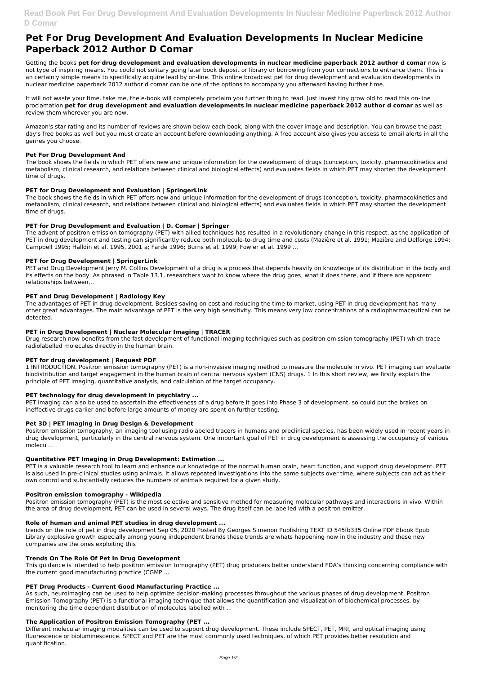# **Pet For Drug Development And Evaluation Developments In Nuclear Medicine Paperback 2012 Author D Comar**

Getting the books **pet for drug development and evaluation developments in nuclear medicine paperback 2012 author d comar** now is not type of inspiring means. You could not solitary going later book deposit or library or borrowing from your connections to entrance them. This is an certainly simple means to specifically acquire lead by on-line. This online broadcast pet for drug development and evaluation developments in nuclear medicine paperback 2012 author d comar can be one of the options to accompany you afterward having further time.

It will not waste your time. take me, the e-book will completely proclaim you further thing to read. Just invest tiny grow old to read this on-line proclamation **pet for drug development and evaluation developments in nuclear medicine paperback 2012 author d comar** as well as review them wherever you are now.

Amazon's star rating and its number of reviews are shown below each book, along with the cover image and description. You can browse the past day's free books as well but you must create an account before downloading anything. A free account also gives you access to email alerts in all the genres you choose.

## **Pet For Drug Development And**

PET and Drug Development Jerry M. Collins Development of a drug is a process that depends heavily on knowledge of its distribution in the body and its effects on the body. As phrased in Table 13.1, researchers want to know where the drug goes, what it does there, and if there are apparent relationships between…

The book shows the fields in which PET offers new and unique information for the development of drugs (conception, toxicity, pharmacokinetics and metabolism, clinical research, and relations between clinical and biological effects) and evaluates fields in which PET may shorten the development time of drugs.

### **PET for Drug Development and Evaluation | SpringerLink**

The book shows the fields in which PET offers new and unique information for the development of drugs (conception, toxicity, pharmacokinetics and metabolism, clinical research, and relations between clinical and biological effects) and evaluates fields in which PET may shorten the development time of drugs.

PET imaging can also be used to ascertain the effectiveness of a drug before it goes into Phase 3 of development, so could put the brakes on ineffective drugs earlier and before large amounts of money are spent on further testing.

## **PET for Drug Development and Evaluation | D. Comar | Springer**

Positron emission tomography, an imaging tool using radiolabeled tracers in humans and preclinical species, has been widely used in recent years in drug development, particularly in the central nervous system. One important goal of PET in drug development is assessing the occupancy of various molecu …

The advent of positron emission tomography (PET) with allied techniques has resulted in a revolutionary change in this respect, as the application of PET in drug development and testing can significantly reduce both molecule-to-drug time and costs (Mazière et al. 1991; Mazière and Delforge 1994; Campbell 1995; Halldin et al. 1995, 2001 a; Farde 1996; Burns et al. 1999; Fowler et al. 1999 ...

PET is a valuable research tool to learn and enhance our knowledge of the normal human brain, heart function, and support drug development. PET is also used in pre-clinical studies using animals. It allows repeated investigations into the same subjects over time, where subjects can act as their own control and substantially reduces the numbers of animals required for a given study.

## **PET for Drug Development | SpringerLink**

#### **PET and Drug Development | Radiology Key**

The advantages of PET in drug development. Besides saving on cost and reducing the time to market, using PET in drug development has many other great advantages. The main advantage of PET is the very high sensitivity. This means very low concentrations of a radiopharmaceutical can be detected.

## **PET in Drug Development | Nuclear Molecular Imaging | TRACER**

Drug research now benefits from the fast development of functional imaging techniques such as positron emission tomography (PET) which trace radiolabelled molecules directly in the human brain.

## **PET for drug development | Request PDF**

1 INTRODUCTION. Positron emission tomography (PET) is a non‐invasive imaging method to measure the molecule in vivo. PET imaging can evaluate biodistribution and target engagement in the human brain of central nervous system (CNS) drugs. 1 In this short review, we firstly explain the principle of PET imaging, quantitative analysis, and calculation of the target occupancy.

## **PET technology for drug development in psychiatry ...**

#### **Pet 3D | PET imaging in Drug Design & Development**

## **Quantitative PET Imaging in Drug Development: Estimation ...**

#### **Positron emission tomography - Wikipedia**

Positron emission tomography (PET) is the most selective and sensitive method for measuring molecular pathways and interactions in vivo. Within the area of drug development, PET can be used in several ways. The drug itself can be labelled with a positron emitter.

#### **Role of human and animal PET studies in drug development ...**

trends on the role of pet in drug development Sep 05, 2020 Posted By Georges Simenon Publishing TEXT ID 545fb335 Online PDF Ebook Epub Library explosive growth especially among young independent brands these trends are whats happening now in the industry and these new companies are the ones exploiting this

#### **Trends On The Role Of Pet In Drug Development**

This guidance is intended to help positron emission tomography (PET) drug producers better understand FDA's thinking concerning compliance with the current good manufacturing practice (CGMP ...

#### **PET Drug Products - Current Good Manufacturing Practice ...**

As such, neuroimaging can be used to help optimize decision-making processes throughout the various phases of drug development. Positron Emission Tomography (PET) is a functional imaging technique that allows the quantification and visualization of biochemical processes, by monitoring the time dependent distribution of molecules labelled with ...

#### **The Application of Positron Emission Tomography (PET ...**

Different molecular imaging modalities can be used to support drug development. These include SPECT, PET, MRI, and optical imaging using fluorescence or bioluminescence. SPECT and PET are the most commonly used techniques, of which PET provides better resolution and quantification.